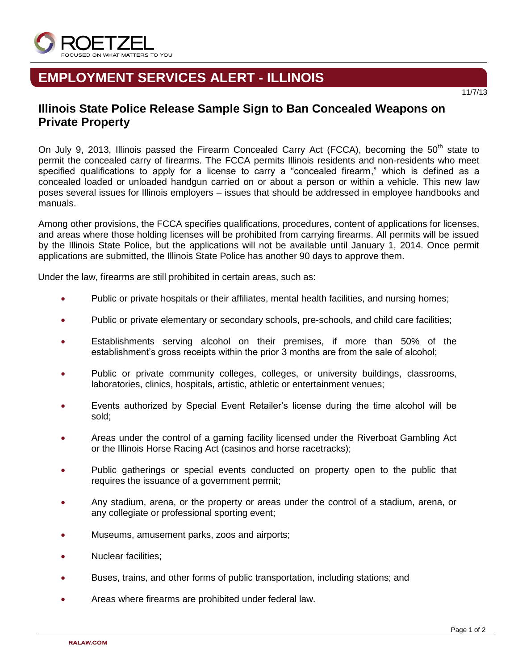

## **EMPLOYMENT SERVICES ALERT - ILLINOIS**

# 11/7/13

## **Illinois State Police Release Sample Sign to Ban Concealed Weapons on Private Property**

On July 9, 2013, Illinois passed the Firearm Concealed Carry Act (FCCA), becoming the  $50<sup>th</sup>$  state to permit the concealed carry of firearms. The FCCA permits Illinois residents and non-residents who meet specified qualifications to apply for a license to carry a "concealed firearm," which is defined as a concealed loaded or unloaded handgun carried on or about a person or within a vehicle. This new law poses several issues for Illinois employers – issues that should be addressed in employee handbooks and manuals.

Among other provisions, the FCCA specifies qualifications, procedures, content of applications for licenses, and areas where those holding licenses will be prohibited from carrying firearms. All permits will be issued by the Illinois State Police, but the applications will not be available until January 1, 2014. Once permit applications are submitted, the Illinois State Police has another 90 days to approve them.

Under the law, firearms are still prohibited in certain areas, such as:

- Public or private hospitals or their affiliates, mental health facilities, and nursing homes;
- Public or private elementary or secondary schools, pre-schools, and child care facilities;
- Establishments serving alcohol on their premises, if more than 50% of the establishment's gross receipts within the prior 3 months are from the sale of alcohol;
- Public or private community colleges, colleges, or university buildings, classrooms, laboratories, clinics, hospitals, artistic, athletic or entertainment venues;
- Events authorized by Special Event Retailer's license during the time alcohol will be sold;
- Areas under the control of a gaming facility licensed under the Riverboat Gambling Act or the Illinois Horse Racing Act (casinos and horse racetracks);
- Public gatherings or special events conducted on property open to the public that requires the issuance of a government permit;
- Any stadium, arena, or the property or areas under the control of a stadium, arena, or any collegiate or professional sporting event;
- Museums, amusement parks, zoos and airports;
- Nuclear facilities;
- Buses, trains, and other forms of public transportation, including stations; and
- Areas where firearms are prohibited under federal law.